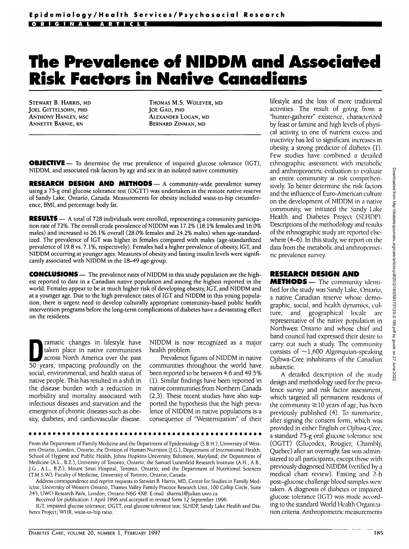## **The Prevalence of NIDDM and Associated Risk Factors in Native Canadians**

STEWART B. HARRIS, MD JOEL GITTELSOHN, PHD ANTHONY HANLEY, MSC ANNETTE BARNIE, RN

THOMAS M.S. WOLEVER, MD JOE GAO, PHD ALEXANDER LOGAN, MD BERNARD ZINMAN, MD

OBJECTIVE— To determine the true prevalence of impaired glucose tolerance (IGT), NIDDM, and associated risk factors by age and sex in an isolated native community.

**RESEARCH DESIGN AND METHODS— A community-wide prevalence survey** using a 75-g oral glucose tolerance test (OGTT) was undertaken in the remote native reserve of Sandy Lake, Ontario, Canada. Measurements for obesity included waist-to-hip circumference, BM1, and percentage body fat.

RESULTS - A total of 728 individuals were enrolled, representing a community participation rate of 72%. The overall crude prevalence of NIDDM was 17.2% (18.1% females and 16.0% males) and increased to 26.1% overall (28.0% females and 24.2% males) when age-standardized. The prevalence of IGT was higher in females compared with males (age-standardized prevalence of 19.8 vs. 7.1%, respectively). Females had a higher prevalence of obesity, IGT, and NIDDM occurring at younger ages. Measures of obesity and fasting insulin levels were significantly associated with NIDDM in the 18-49 age-group.

CONCLUSIONS — The prevalence rates of NIDDM in this study population are the highest reported to date in a Canadian native population and among the highest reported in the world. Females appear to be at much higher risk of developing obesity, IGT, and NIDDM and at a younger age. Due to the high prevalence rates of IGT and NIDDM in this young population, there is urgent need to develop culturally appropriate community-based public health intervention programs before the long-term complications of diabetes have a devastating effect on the residents.

ramatic changes in litestyle have<br>taken place in native communities<br>across North America over the past taken place in native communities across North America over the past 50 years, impacting profoundly on the social, environmental, and health status of native people. This has resulted in a shift in the disease burden with a reduction in morbidity and mortality associated with infectious diseases and starvation and the emergence of chronic diseases such as obesity, diabetes, and cardiovascular disease.

NIDDM is now recognized as a major health problem.

Prevalence figures of NIDDM in native communities throughout the world have been reported to be between 4.6 and 49.5% (1). Similar findings have been reported in native communities from Northern Canada (2,3). These recent studies have also supported the hypothesis that the high prevalence of NIDDM in native populations is a consequence of "Westernization" of their

From the Department of Family Medicine and the Department of Epidemiology (S.B.H.), University of Western Ontario, London, Ontario; the Division of Human Nutrition (J-G.), Department of International Health, School of Hygiene and Public Health, Johns Hopkins University, Baltimore, Maryland; the Department of Medicine (A.L., B.Z.), University of Toronto, Ontario; the Samuel Lunenfeld Research Institute (A.H., A.B., J.G., A.I.., B.Z.), Mount Sinai Hospital, Toronto, Ontario; and the Department of Nutritional Sciences (T.M.S.W.), Faculty of Medicine, University of Toronto, Ontario, Canada.

Address correspondence and reprint requests to Stewart B. Harris, MD, Centre for Studies in Family Medicine, University of Western Ontario, Thames Valley Family Practice Research Unit, 100 Collip Circle, Suite 245, UWO Research Park, London, Ontario N6G 4X8. E-mail: sharris1@julian.uwo.ca.

Received for publication 1 April 1996 and accepted in revised form 12 September 1996.

IGT, impaired glucose tolerance; OGTT, oral glucose tolerance test; SLHDP, Sandy Lake Health and Diabetes Project; WHR, waist-to-hip ratio.

lifestyle and the loss of more traditional activities. The result of going from a "hunter-gatherer" existence, characterized by feast or famine and high levels of physical activity, to one of nutrient excess and inactivity has led to significant increases in obesity, a strong predictor of diabetes (1). Few studies have combined a detailed ethnographic assessment with metabolic and anthropometric evaluation to evaluate an entire community at risk comprehensively. To better determine the risk factors and the influence of Euro-American culture on the development of NIDDM in a native community, we initiated the Sandy Lake Health and Diabetes Project (SLHDP). Descriptions of the methodology and results of the ethnographic study are reported elsewhere (4-6). In this study, we report on the data from the metabolic and anthropometric prevalence survey.

## **RESEARCH DESIGN AND**

METHODS - The community identified for the study was Sandy Lake, Ontario, a native Canadian reserve whose demographic, social, and health dynamics, culture, and geographical locale are representative of the native population in Northwest Ontario and whose chief and band council had expressed their desire to carry out such a study. The community consists of  $\sim$ 1,600 Algonquian-speaking Ojibwa-Cree inhabitants of the Canadian subarctic.

A detailed description of the study design and methodology used for the prevalence survey and risk factor assessment, which targeted all permanent residents of the community  $\geq$ 10 years of age, has been previously published (4). To summarize, after signing the consent form, which was provided in either English or Ojibwa-Cree, a standard 75-g oral glucose tolerance test (OGTT) (Glucodex, Rougier, Chambly Quebec) after an overnight fast was administered to all participants, except those with previously diagnosed NIDDM (verified by a medical chart review). Fasting and ?.-h post-glucose challenge blood samples were taken. A diagnosis of diabetes or impaired glucose tolerance (IGT) was made according to the standard World Health Organization criteria. Anthropometric measurements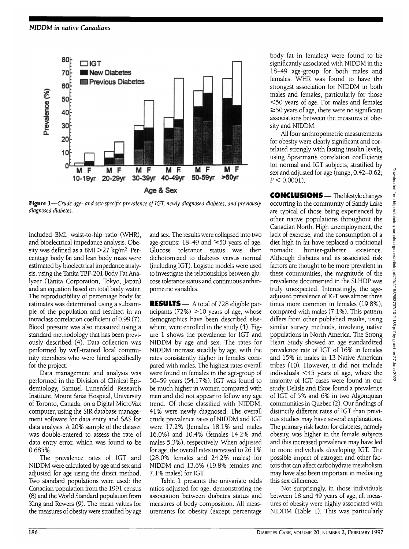

**Figure 1**—*Crude age- and sex-specific prevalence of IGT, newly diagnosed diabetes, and previously diagnosed diabetes.*

included BMI, waist-to-hip ratio (WHR), and bioelectrical impedance analysis. Obeity was defined as a BMI >27 kg/m<sup>2</sup>. Percentage body fat and lean body mass were estimated by bioelectrical impedance analysis, using the Tanita TBF-201 Body Fat Analyzer (Tanita Corporation, Tokyo, Japan) and an equation based on total body water. The reproducibility of percentage body fat estimates was determined using a subsample of the population and resulted in an intraclass correlation coefficient of 0.99 (7). Blood pressure was also measured using a standard methodology that has been previously described (4). Data collection was performed by well-trained local community members who were hired specifically for the project.

Data management and analysis was performed in the Division of Clinical Epidemiology, Samuel Lunenfeld Research Institute, Mount Sinai Hospital, University of Toronto, Canada, on a Digital MicroVax computer, using the SIR database management software for data entry and SAS for data analysis. A 20% sample of the dataset was double-entered to assess the rate of data entry error, which was found to be 0.685%.

The prevalence rates of IGT and NIDDM were calculated by age and sex and adjusted for age using the direct method. Two standard populations were used: the Canadian population from the 1991 census (8) and the World Standard population from King and Rewers (9). The mean values for the measures of obesity were stratified by age and sex. The results were collapsed into two age-groups:  $18-49$  and  $\geq 50$  years of age. Glucose tolerance status was then dichotomized to diabetes versus normal (including IGT). Logistic models were used to investigate the relationships between glucose tolerance status and continuous anthropometric variables.

RESULTS — A total of 728 eligible participants  $(72%) > 10$  years of age, whose demographics have been described elsewhere, were enrolled in the study (4). Figure 1 shows the prevalence for IGT and NIDDM by age and sex. The rates for NIDDM increase steadily by age, with the rates consistently higher in females compared with males. The highest rates overall were found in females in the age-group of 50-59 years (54.17%). IGT was found to be much higher in women compared with men and did not appear to follow any age trend. Of those classified with NIDDM, 41% were newly diagnosed. The overall crude prevalence rates of NIDDM and IGT were 17.2% (females 18.1% and males 16.0%) and 10.4% (females 14.2% and males 5.3%), respectively. When adjusted for age, the overall rates increased to 26.1% (28.0% females and 24.2% males) for NIDDM and 13.6% (19.8% females and 7.1% males) for IGT.

Table 1 presents the univariate odds ratios adjusted for age, demonstrating the association between diabetes status and measures of body composition. All measurements for obesity (except percentage body fat in females) were found to be significantly associated with NIDDM in the 18-49 age-group for both males and females. WHR was found to have the strongest association for NIDDM in both males and females, particularly for those <50 years of age. For males and females  $\geq$  50 years of age, there were no significant associations between the measures of obesity and NIDDM.

All four anthropometric measurements for obesity were clearly significant and correlated strongly with fasting insulin levels, using Spearman's correlation coefficients for normal and IGT subjects, stratified by sex and adjusted for age (range, 0.42-0.62;  $P < 0.0001$ ).

CONCLUSIONS — The lifestyle changes occurring in the community of Sandy Lake are typical of those being experienced by other native populations throughout the Canadian North. High unemployment, the lack of exercise, and the consumption of a diet high in fat have replaced a traditional nomadic hunter-gatherer existence. Although diabetes and its associated risk factors are thought to be more prevalent in these communities, the magnitude of the prevalence documented in the SLHDP was truly unexpected. Interestingly, the ageadjusted prevalence of IGT was almost three times more common in females (19.8%), compared with males (7.1%). This pattern differs from other published results, using similar survey methods, involving native populations in North America. The Strong Heart Study showed an age standardized prevalence rate of IGT of 16% in females and 15% in males in 13 Native American tribes (10). However, it did not include individuals <45 years of age, where the majority of IGT cases were found in our study. Delisle and Ekoe found a prevalence of IGT of 5% and 6% in two Algonquian communities in Quebec (2). Our findings of distinctly different rates of IGT than previous studies may have several explanations. The primary risk factor for diabetes, namely obesity, was higher in the female subjects and this increased prevalence may have led to more individuals developing IGT. The possible impact of estrogen and other factors that can affect carbohydrate metabolism may have also been important in mediating this sex difference.

Not surprisingly, in those individuals between 18 and 49 years of age, all measures of obesity were highly associated with NIDDM (Table 1). This was particularly